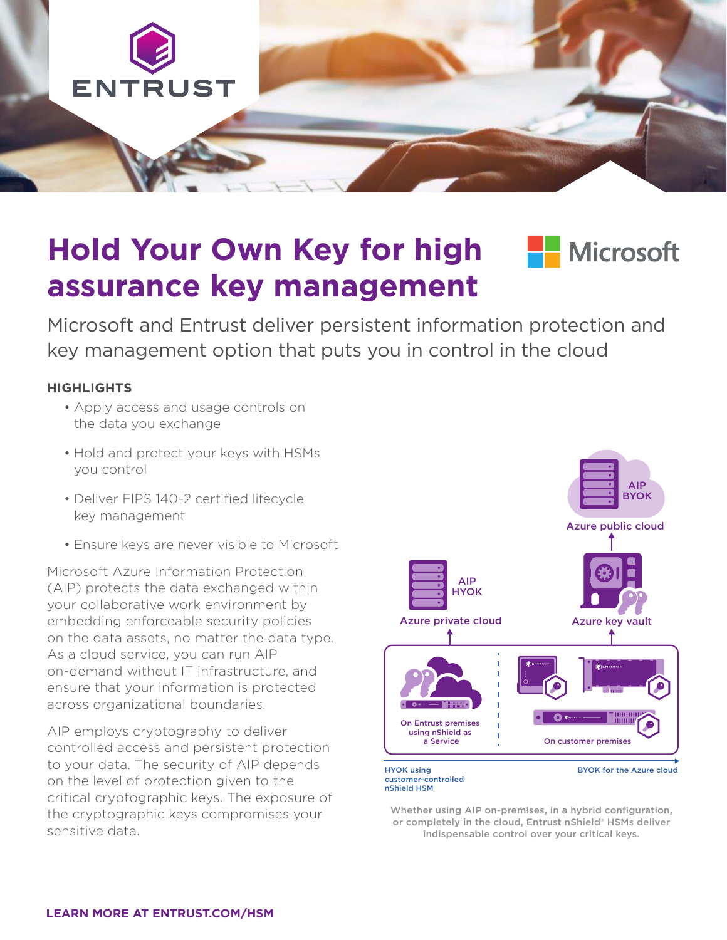

# **Hold Your Own Key for high Fundally Multiply assurance key management**



Microsoft and Entrust deliver persistent information protection and key management option that puts you in control in the cloud

#### **HIGHLIGHTS**

- Apply access and usage controls on the data you exchange
- Hold and protect your keys with HSMs you control
- Deliver FIPS 140-2 certified lifecycle key management
- Ensure keys are never visible to Microsoft

Microsoft Azure Information Protection (AIP) protects the data exchanged within your collaborative work environment by embedding enforceable security policies on the data assets, no matter the data type. As a cloud service, you can run AIP on-demand without IT infrastructure, and ensure that your information is protected across organizational boundaries.

AIP employs cryptography to deliver controlled access and persistent protection to your data. The security of AIP depends on the level of protection given to the critical cryptographic keys. The exposure of the cryptographic keys compromises your sensitive data.



Whether using AIP on-premises, in a hybrid configuration, or completely in the cloud, Entrust nShield® HSMs deliver indispensable control over your critical keys.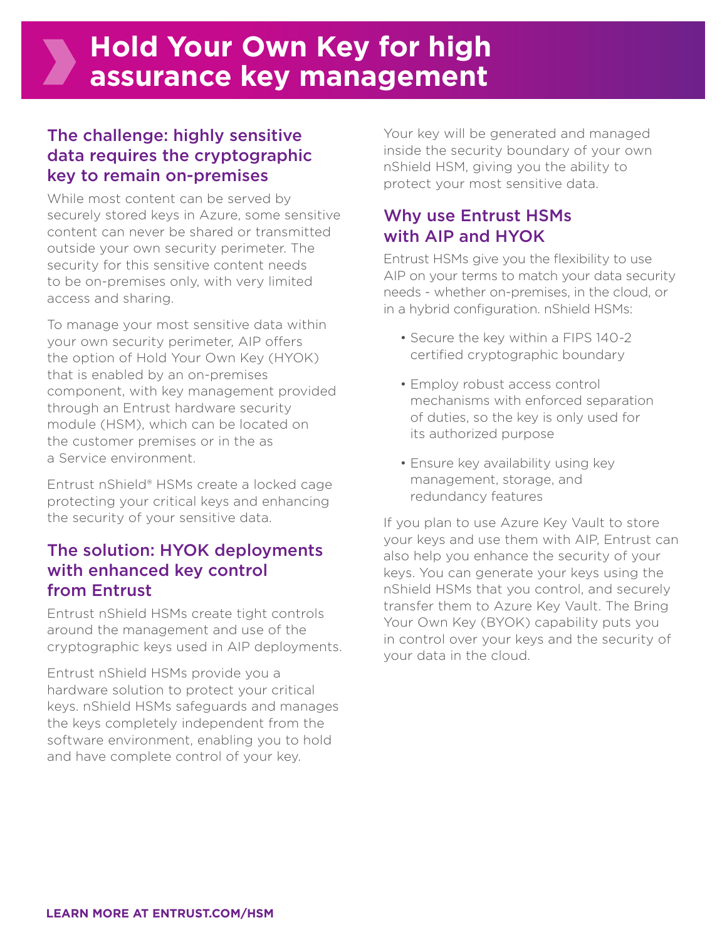## The challenge: highly sensitive data requires the cryptographic key to remain on-premises

While most content can be served by securely stored keys in Azure, some sensitive content can never be shared or transmitted outside your own security perimeter. The security for this sensitive content needs to be on-premises only, with very limited access and sharing.

To manage your most sensitive data within your own security perimeter, AIP offers the option of Hold Your Own Key (HYOK) that is enabled by an on-premises component, with key management provided through an Entrust hardware security module (HSM), which can be located on the customer premises or in the as a Service environment.

Entrust nShield® HSMs create a locked cage protecting your critical keys and enhancing the security of your sensitive data.

#### The solution: HYOK deployments with enhanced key control from Entrust

Entrust nShield HSMs create tight controls around the management and use of the cryptographic keys used in AIP deployments.

Entrust nShield HSMs provide you a hardware solution to protect your critical keys. nShield HSMs safeguards and manages the keys completely independent from the software environment, enabling you to hold and have complete control of your key.

Your key will be generated and managed inside the security boundary of your own nShield HSM, giving you the ability to protect your most sensitive data.

### Why use Entrust HSMs with AIP and HYOK

Entrust HSMs give you the flexibility to use AIP on your terms to match your data security needs - whether on-premises, in the cloud, or in a hybrid configuration. nShield HSMs:

- Secure the key within a FIPS 140-2 certified cryptographic boundary
- Employ robust access control mechanisms with enforced separation of duties, so the key is only used for its authorized purpose
- Ensure key availability using key management, storage, and redundancy features

If you plan to use Azure Key Vault to store your keys and use them with AIP, Entrust can also help you enhance the security of your keys. You can generate your keys using the nShield HSMs that you control, and securely transfer them to Azure Key Vault. The Bring Your Own Key (BYOK) capability puts you in control over your keys and the security of your data in the cloud.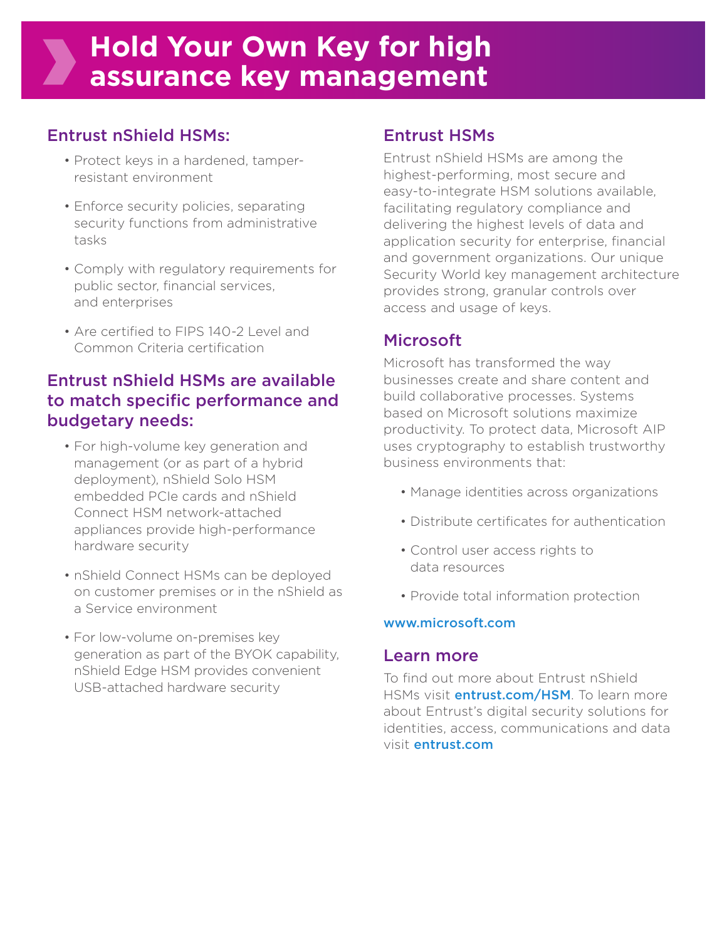## **Hold Your Own Key for high assurance key management**

## Entrust nShield HSMs:

- Protect keys in a hardened, tamperresistant environment
- Enforce security policies, separating security functions from administrative tasks
- Comply with regulatory requirements for public sector, financial services, and enterprises
- Are certified to FIPS 140-2 Level and Common Criteria certification

## Entrust nShield HSMs are available to match specific performance and budgetary needs:

- For high-volume key generation and management (or as part of a hybrid deployment), nShield Solo HSM embedded PCIe cards and nShield Connect HSM network-attached appliances provide high-performance hardware security
- nShield Connect HSMs can be deployed on customer premises or in the nShield as a Service environment
- For low-volume on-premises key generation as part of the BYOK capability, nShield Edge HSM provides convenient USB-attached hardware security

#### Entrust HSMs

Entrust nShield HSMs are among the highest-performing, most secure and easy-to-integrate HSM solutions available, facilitating regulatory compliance and delivering the highest levels of data and application security for enterprise, financial and government organizations. Our unique Security World key management architecture provides strong, granular controls over access and usage of keys.

## Microsoft

Microsoft has transformed the way businesses create and share content and build collaborative processes. Systems based on Microsoft solutions maximize productivity. To protect data, Microsoft AIP uses cryptography to establish trustworthy business environments that:

- Manage identities across organizations
- Distribute certificates for authentication
- Control user access rights to data resources
- Provide total information protection

#### www.microsoft.com

#### Learn more

To find out more about Entrust nShield HSMs visit **entrust.com/HSM**. To learn more about Entrust's digital security solutions for identities, access, communications and data visit entrust.com